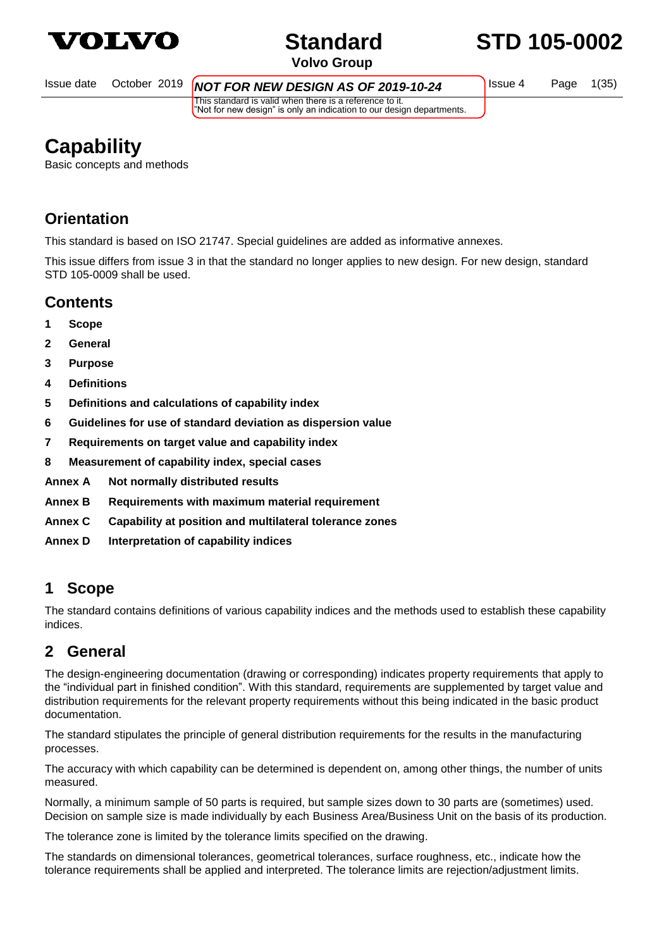



Issue date Cotober 2019 **NOT FOR NEW DESIGN AS OF 2019-10-24** Plssue 4 Page 1(35) This standard is valid when there is a reference to it. "Not for new design" is only an indication to our design departments.

# **Capability**

Basic concepts and methods

# **Orientation**

This standard is based on ISO 21747. Special guidelines are added as informative annexes.

This issue differs from issue 3 in that the standard no longer applies to new design. For new design, standard STD 105-0009 shall be used.

# **Contents**

- **1 Scope**
- **2 General**
- **3 Purpose**
- **4 Definitions**
- **5 Definitions and calculations of capability index**
- **6 Guidelines for use of standard deviation as dispersion value**
- **7 Requirements on target value and capability index**
- **8 Measurement of capability index, special cases**
- **Annex A Not normally distributed results**
- **Annex B Requirements with maximum material requirement**
- **Annex C Capability at position and multilateral tolerance zones**
- **Annex D Interpretation of capability indices**

# **1 Scope**

The standard contains definitions of various capability indices and the methods used to establish these capability indices.

# **2 General**

The design-engineering documentation (drawing or corresponding) indicates property requirements that apply to the "individual part in finished condition". With this standard, requirements are supplemented by target value and distribution requirements for the relevant property requirements without this being indicated in the basic product documentation.

The standard stipulates the principle of general distribution requirements for the results in the manufacturing processes.

The accuracy with which capability can be determined is dependent on, among other things, the number of units measured.

Normally, a minimum sample of 50 parts is required, but sample sizes down to 30 parts are (sometimes) used. Decision on sample size is made individually by each Business Area/Business Unit on the basis of its production.

The tolerance zone is limited by the tolerance limits specified on the drawing.

The standards on dimensional tolerances, geometrical tolerances, surface roughness, etc., indicate how the tolerance requirements shall be applied and interpreted. The tolerance limits are rejection/adjustment limits.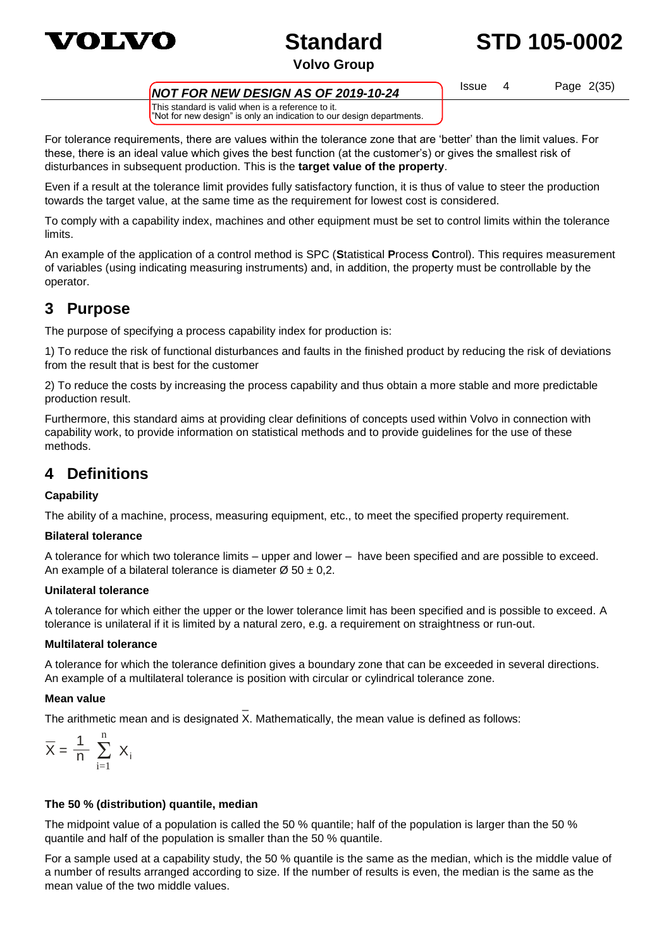



*NOT FOR NEW DESIGN AS OF 2019-10-24*

Issue 4 Page 2(35)

This standard is valid when is a reference to it. "Not for new design" is only an indication to our design departments.

For tolerance requirements, there are values within the tolerance zone that are 'better' than the limit values. For these, there is an ideal value which gives the best function (at the customer's) or gives the smallest risk of disturbances in subsequent production. This is the **target value of the property**.

Even if a result at the tolerance limit provides fully satisfactory function, it is thus of value to steer the production towards the target value, at the same time as the requirement for lowest cost is considered.

To comply with a capability index, machines and other equipment must be set to control limits within the tolerance limits.

An example of the application of a control method is SPC (**S**tatistical **P**rocess **C**ontrol). This requires measurement of variables (using indicating measuring instruments) and, in addition, the property must be controllable by the operator.

# **3 Purpose**

The purpose of specifying a process capability index for production is:

1) To reduce the risk of functional disturbances and faults in the finished product by reducing the risk of deviations from the result that is best for the customer

2) To reduce the costs by increasing the process capability and thus obtain a more stable and more predictable production result.

Furthermore, this standard aims at providing clear definitions of concepts used within Volvo in connection with capability work, to provide information on statistical methods and to provide guidelines for the use of these methods.

# **4 Definitions**

### **Capability**

The ability of a machine, process, measuring equipment, etc., to meet the specified property requirement.

### **Bilateral tolerance**

A tolerance for which two tolerance limits – upper and lower – have been specified and are possible to exceed. An example of a bilateral tolerance is diameter  $\varnothing$  50  $\pm$  0.2.

### **Unilateral tolerance**

A tolerance for which either the upper or the lower tolerance limit has been specified and is possible to exceed. A tolerance is unilateral if it is limited by a natural zero, e.g. a requirement on straightness or run-out.

### **Multilateral tolerance**

A tolerance for which the tolerance definition gives a boundary zone that can be exceeded in several directions. An example of a multilateral tolerance is position with circular or cylindrical tolerance zone.

### **Mean value**

The arithmetic mean and is designated X. Mathematically, the mean value is defined as follows: \_

$$
\overline{X} = \frac{1}{n} \sum_{i=1}^{n} X_i
$$

### **The 50 % (distribution) quantile, median**

The midpoint value of a population is called the 50 % quantile; half of the population is larger than the 50 % quantile and half of the population is smaller than the 50 % quantile.

For a sample used at a capability study, the 50 % quantile is the same as the median, which is the middle value of a number of results arranged according to size. If the number of results is even, the median is the same as the mean value of the two middle values.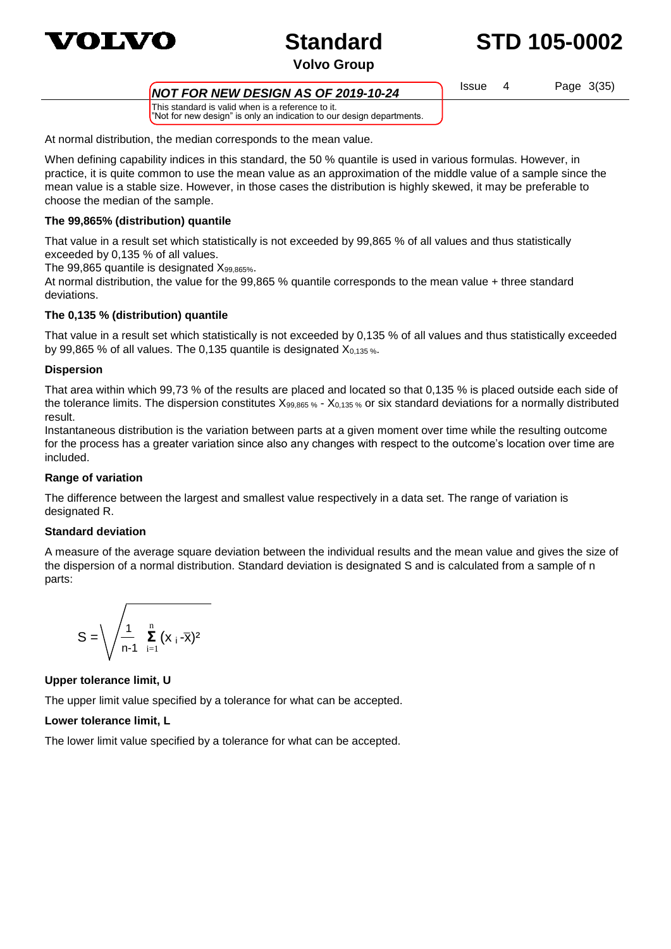



*NOT FOR NEW DESIGN AS OF 2019-10-24*

This standard is valid when is a reference to it. "Not for new design" is only an indication to our design departments.

Issue 4 Page 3(35)

At normal distribution, the median corresponds to the mean value.

When defining capability indices in this standard, the 50 % quantile is used in various formulas. However, in practice, it is quite common to use the mean value as an approximation of the middle value of a sample since the mean value is a stable size. However, in those cases the distribution is highly skewed, it may be preferable to choose the median of the sample.

### **The 99,865% (distribution) quantile**

That value in a result set which statistically is not exceeded by 99,865 % of all values and thus statistically exceeded by 0,135 % of all values.

The 99,865 quantile is designated X99,865%.

At normal distribution, the value for the 99,865 % quantile corresponds to the mean value + three standard deviations.

### **The 0,135 % (distribution) quantile**

That value in a result set which statistically is not exceeded by 0,135 % of all values and thus statistically exceeded by 99,865 % of all values. The 0,135 quantile is designated  $X_{0,135}$  %.

### **Dispersion**

That area within which 99,73 % of the results are placed and located so that 0,135 % is placed outside each side of the tolerance limits. The dispersion constitutes  $X_{99,865\%}$  -  $X_{0,135\%}$  or six standard deviations for a normally distributed result.

Instantaneous distribution is the variation between parts at a given moment over time while the resulting outcome for the process has a greater variation since also any changes with respect to the outcome's location over time are included.

### **Range of variation**

The difference between the largest and smallest value respectively in a data set. The range of variation is designated R.

### **Standard deviation**

A measure of the average square deviation between the individual results and the mean value and gives the size of the dispersion of a normal distribution. Standard deviation is designated S and is calculated from a sample of n parts:

$$
S = \sqrt{\frac{1}{n-1} \sum_{i=1}^{n} (x_i - \overline{x})^2}
$$

### **Upper tolerance limit, U**

The upper limit value specified by a tolerance for what can be accepted.

### **Lower tolerance limit, L**

The lower limit value specified by a tolerance for what can be accepted.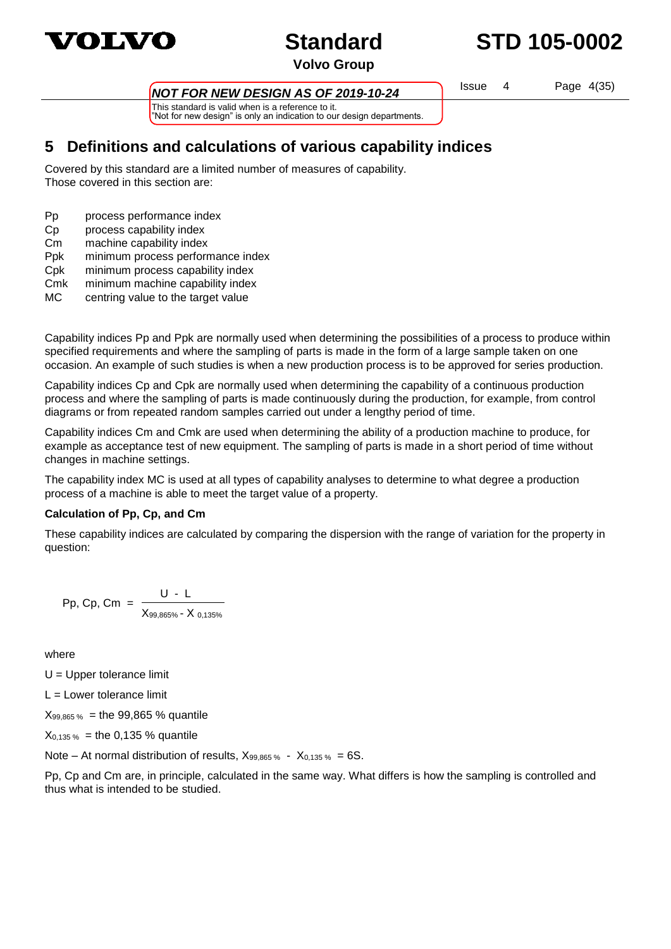



*NOT FOR NEW DESIGN AS OF 2019-10-24* This standard is valid when is a reference to it.

"Not for new design" is only an indication to our design departments.

Issue 4 Page 4(35)

# **5 Definitions and calculations of various capability indices**

Covered by this standard are a limited number of measures of capability. Those covered in this section are:

- Pp process performance index
- Cp process capability index
- Cm machine capability index
- Ppk minimum process performance index
- Cpk minimum process capability index
- Cmk minimum machine capability index
- MC centring value to the target value

Capability indices Pp and Ppk are normally used when determining the possibilities of a process to produce within specified requirements and where the sampling of parts is made in the form of a large sample taken on one occasion. An example of such studies is when a new production process is to be approved for series production.

Capability indices Cp and Cpk are normally used when determining the capability of a continuous production process and where the sampling of parts is made continuously during the production, for example, from control diagrams or from repeated random samples carried out under a lengthy period of time.

Capability indices Cm and Cmk are used when determining the ability of a production machine to produce, for example as acceptance test of new equipment. The sampling of parts is made in a short period of time without changes in machine settings.

The capability index MC is used at all types of capability analyses to determine to what degree a production process of a machine is able to meet the target value of a property.

### **Calculation of Pp, Cp, and Cm**

These capability indices are calculated by comparing the dispersion with the range of variation for the property in question:

$$
Pp, Cp, Cm = \frac{U - L}{X_{99,865\%} - X_{0,135\%}}
$$

where

 $U = U$ pper tolerance limit

L = Lower tolerance limit

 $X_{99,865\%}$  = the 99,865 % quantile

 $X_{0,135\%}$  = the 0,135 % quantile

Note – At normal distribution of results,  $X_{99,865\%}$  -  $X_{0,135\%}$  = 6S.

Pp, Cp and Cm are, in principle, calculated in the same way. What differs is how the sampling is controlled and thus what is intended to be studied.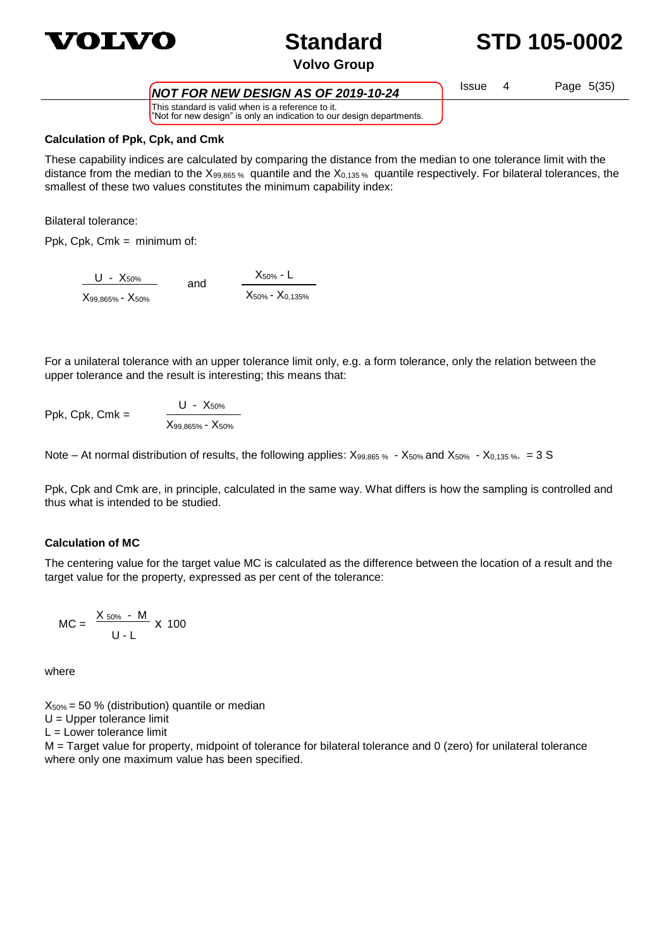



### *NOT FOR NEW DESIGN AS OF 2019-10-24*

This standard is valid when is a reference to it. <sup>'</sup>Not for new design" is only an indication to our design departments.

Issue 4 Page 5(35)

### **Calculation of Ppk, Cpk, and Cmk**

These capability indices are calculated by comparing the distance from the median to one tolerance limit with the distance from the median to the  $X_{99,865\%}$  quantile and the  $X_{0,135\%}$  quantile respectively. For bilateral tolerances, the smallest of these two values constitutes the minimum capability index:

Bilateral tolerance:

Ppk, Cpk, Cmk = minimum of:

 $U - X_{50\%}$ X99,865% - X50%  $X_{50\%}$  - L  $X_{50\%} - X_{0,135\%}$ and

For a unilateral tolerance with an upper tolerance limit only, e.g. a form tolerance, only the relation between the upper tolerance and the result is interesting; this means that:

Ppk, Cpk, Cmk =

 $U - X_{50\%}$ X99,865% - X50%

Note – At normal distribution of results, the following applies:  $X_{99,865\%}$  -  $X_{50\%}$  and  $X_{50\%}$  -  $X_{0,135\%}$ . = 3 S

Ppk, Cpk and Cmk are, in principle, calculated in the same way. What differs is how the sampling is controlled and thus what is intended to be studied.

### **Calculation of MC**

The centering value for the target value MC is calculated as the difference between the location of a result and the target value for the property, expressed as per cent of the tolerance:

$$
MC = \frac{X_{50\%} - M}{U - L} \times 100
$$

where

 $X_{50\%}$  = 50 % (distribution) quantile or median

U = Upper tolerance limit

L = Lower tolerance limit M = Target value for property, midpoint of tolerance for bilateral tolerance and 0 (zero) for unilateral tolerance

where only one maximum value has been specified.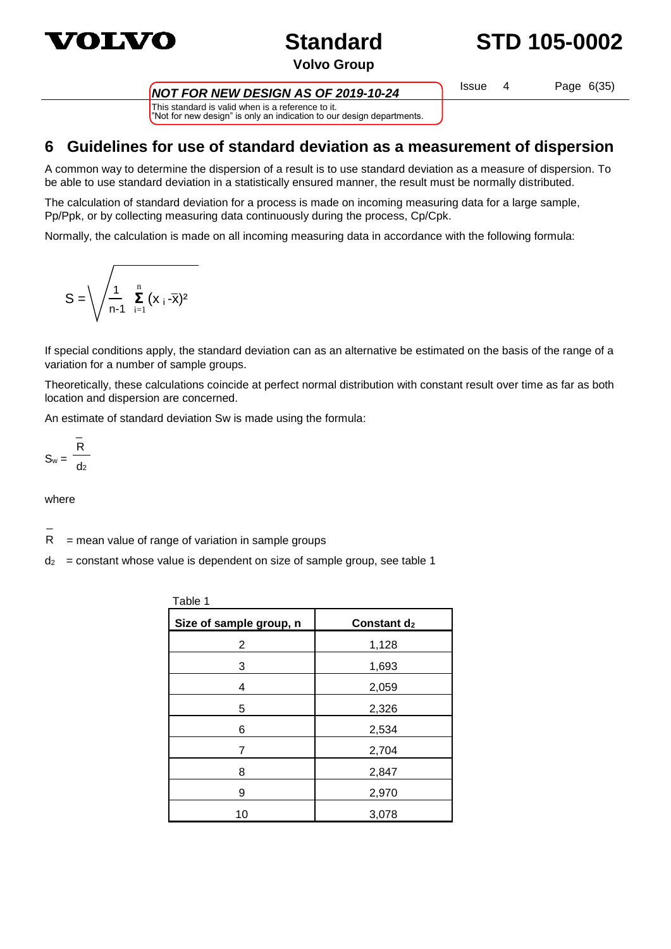



*NOT FOR NEW DESIGN AS OF 2019-10-24* This standard is valid when is a reference to it.

"Not for new design" is only an indication to our design departments.

Issue 4 Page 6(35)

# **6 Guidelines for use of standard deviation as a measurement of dispersion**

A common way to determine the dispersion of a result is to use standard deviation as a measure of dispersion. To be able to use standard deviation in a statistically ensured manner, the result must be normally distributed.

The calculation of standard deviation for a process is made on incoming measuring data for a large sample, Pp/Ppk, or by collecting measuring data continuously during the process, Cp/Cpk.

Normally, the calculation is made on all incoming measuring data in accordance with the following formula:

$$
S = \sqrt{\frac{1}{n-1} \sum_{i=1}^{n} (x_i - \overline{x})^2}
$$

If special conditions apply, the standard deviation can as an alternative be estimated on the basis of the range of a variation for a number of sample groups.

Theoretically, these calculations coincide at perfect normal distribution with constant result over time as far as both location and dispersion are concerned.

An estimate of standard deviation Sw is made using the formula:

$$
S_w = \frac{\overline{R}}{d_2}
$$

where

\_

 = mean value of range of variation in sample groups R

 $d_2$  = constant whose value is dependent on size of sample group, see table 1

| Table 1                 |                         |  |  |  |  |
|-------------------------|-------------------------|--|--|--|--|
| Size of sample group, n | Constant d <sub>2</sub> |  |  |  |  |
| 2                       | 1,128                   |  |  |  |  |
| 3                       | 1,693                   |  |  |  |  |
| 4                       | 2,059                   |  |  |  |  |
| 5                       | 2,326                   |  |  |  |  |
| 6                       | 2,534                   |  |  |  |  |
| 7                       | 2,704                   |  |  |  |  |
| 8                       | 2,847                   |  |  |  |  |
| 9                       | 2,970                   |  |  |  |  |
| 10                      | 3,078                   |  |  |  |  |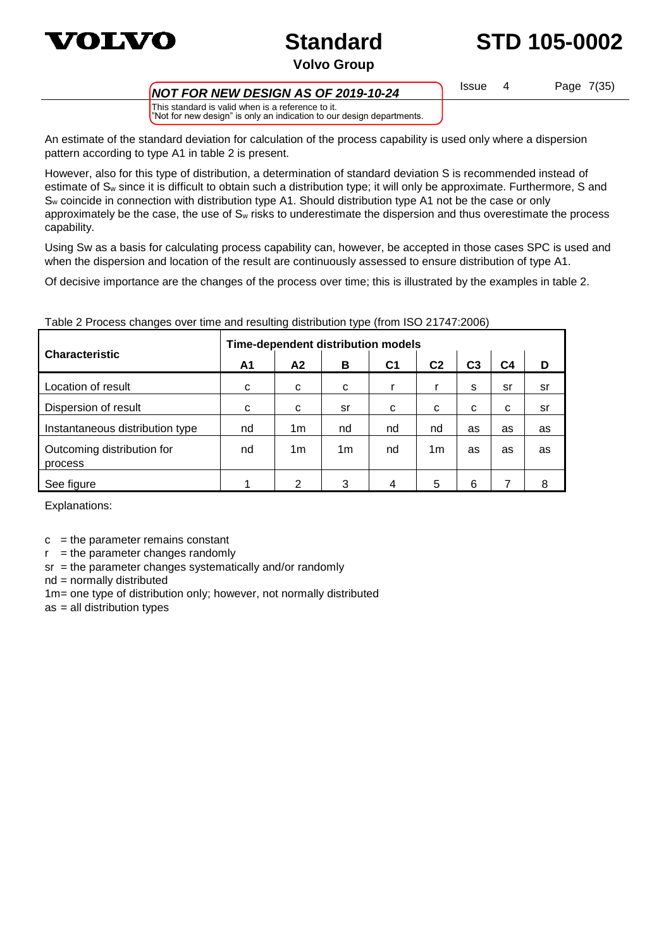



### *NOT FOR NEW DESIGN AS OF 2019-10-24*

Issue 4 Page 7(35)

This standard is valid when is a reference to it. "Not for new design" is only an indication to our design departments.

An estimate of the standard deviation for calculation of the process capability is used only where a dispersion pattern according to type A1 in table 2 is present.

However, also for this type of distribution, a determination of standard deviation S is recommended instead of estimate of S<sup>w</sup> since it is difficult to obtain such a distribution type; it will only be approximate. Furthermore, S and S<sup>w</sup> coincide in connection with distribution type A1. Should distribution type A1 not be the case or only approximately be the case, the use of S<sup>w</sup> risks to underestimate the dispersion and thus overestimate the process capability.

Using Sw as a basis for calculating process capability can, however, be accepted in those cases SPC is used and when the dispersion and location of the result are continuously assessed to ensure distribution of type A1.

Of decisive importance are the changes of the process over time; this is illustrated by the examples in table 2.

| <b>Characteristic</b>                 | Time-dependent distribution models |                |    |                |                |                |    |    |  |
|---------------------------------------|------------------------------------|----------------|----|----------------|----------------|----------------|----|----|--|
|                                       | A <sub>1</sub>                     | A2             | в  | C <sub>1</sub> | C <sub>2</sub> | C <sub>3</sub> | C4 | D  |  |
| Location of result                    | C                                  | C              | C  |                |                | s              | sr | sr |  |
| Dispersion of result                  | C                                  | C              | sr | C              | C              | C              | C  | sr |  |
| Instantaneous distribution type       | nd                                 | 1 <sub>m</sub> | nd | nd             | nd             | as             | as | as |  |
| Outcoming distribution for<br>process | nd                                 | 1m             | 1m | nd             | 1m             | as             | as | as |  |
| See figure                            |                                    | 2              | 3  | 4              | 5              | 6              | ⇁  |    |  |

Table 2 Process changes over time and resulting distribution type (from ISO 21747:2006)

Explanations:

 $c =$  the parameter remains constant

 $r =$  the parameter changes randomly

 $sr = the parameter changes systematically and/or randomly$ 

nd = normally distributed

1m= one type of distribution only; however, not normally distributed

as = all distribution types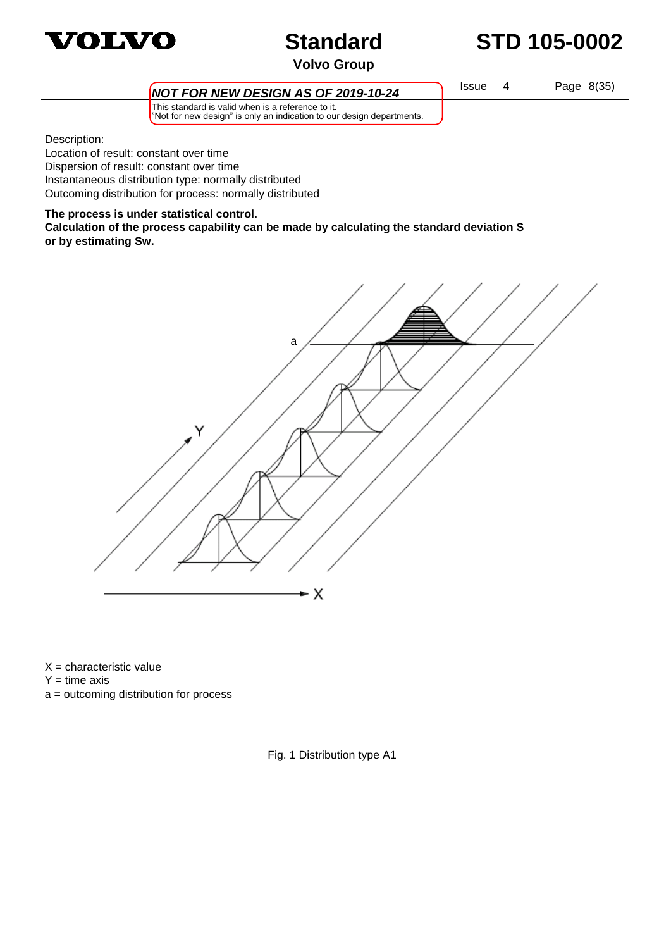



### *NOT FOR NEW DESIGN AS OF 2019-10-24*

This standard is valid when is a reference to it. "Not for new design" is only an indication to our design departments.

Issue 4 Page 8(35)

Description:

Location of result: constant over time Dispersion of result: constant over time Instantaneous distribution type: normally distributed Outcoming distribution for process: normally distributed

### **The process is under statistical control.**

**Calculation of the process capability can be made by calculating the standard deviation S or by estimating Sw.**



 $X =$  characteristic value

 $Y = time axis$ 

a = outcoming distribution for process

Fig. 1 Distribution type A1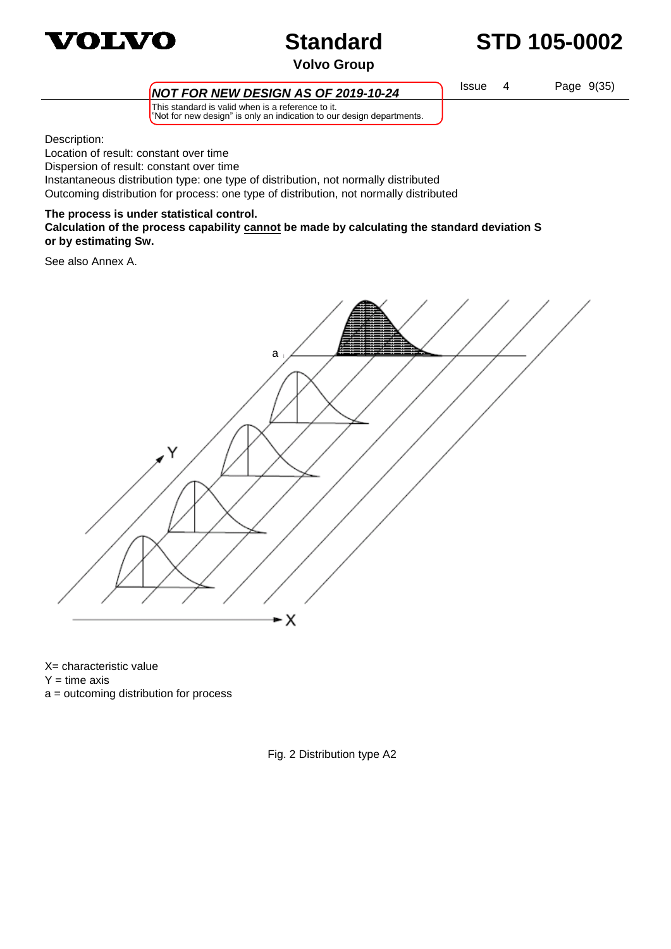



### *NOT FOR NEW DESIGN AS OF 2019-10-24*

This standard is valid when is a reference to it. "Not for new design" is only an indication to our design departments.

Issue 4 Page 9(35)

Description:

Location of result: constant over time

Dispersion of result: constant over time

Instantaneous distribution type: one type of distribution, not normally distributed Outcoming distribution for process: one type of distribution, not normally distributed

### **The process is under statistical control.**

**Calculation of the process capability cannot be made by calculating the standard deviation S or by estimating Sw.**

See also Annex A.



X= characteristic value

 $Y =$  time axis

a = outcoming distribution for process

Fig. 2 Distribution type A2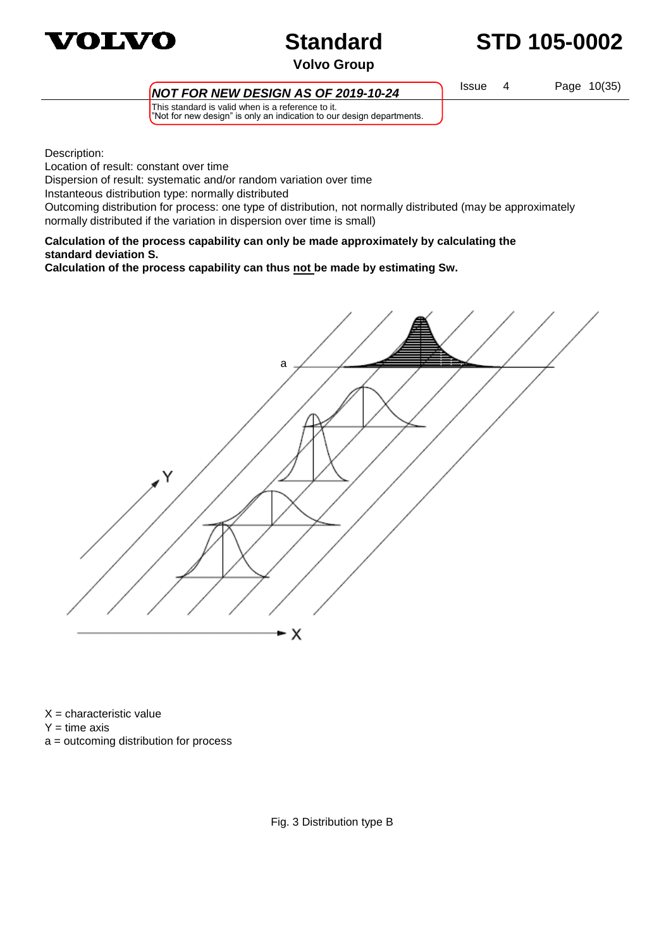



*NOT FOR NEW DESIGN AS OF 2019-10-24*

This standard is valid when is a reference to it. "Not for new design" is only an indication to our design departments.

Issue 4 Page 10(35)

Description:

Location of result: constant over time

Dispersion of result: systematic and/or random variation over time

Instanteous distribution type: normally distributed

Outcoming distribution for process: one type of distribution, not normally distributed (may be approximately normally distributed if the variation in dispersion over time is small)

### **Calculation of the process capability can only be made approximately by calculating the standard deviation S.**

**Calculation of the process capability can thus not be made by estimating Sw.**



 $X =$  characteristic value

 $Y = time axis$ 

a = outcoming distribution for process

Fig. 3 Distribution type B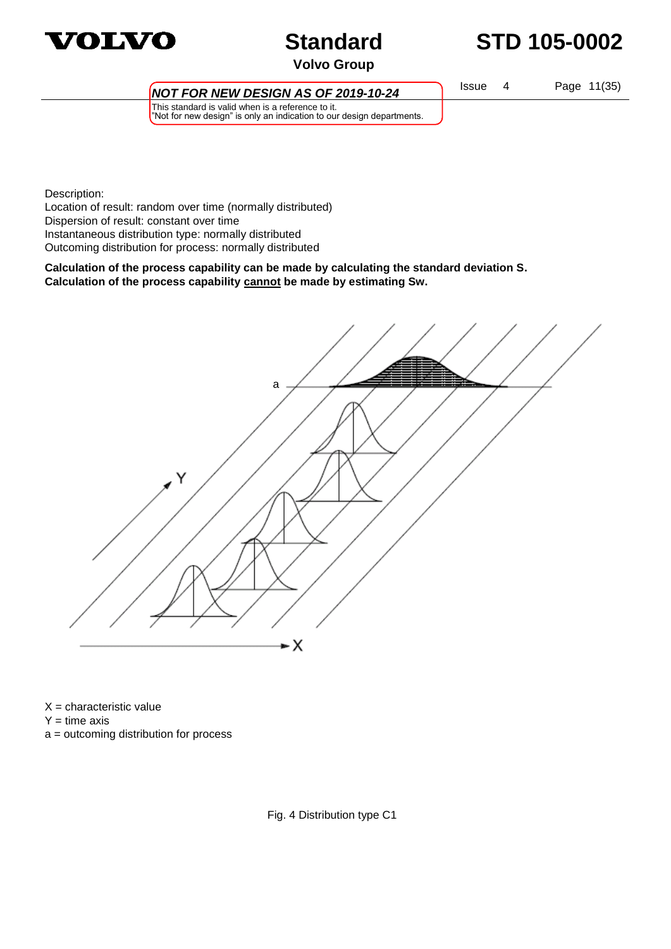



*NOT FOR NEW DESIGN AS OF 2019-10-24*

This standard is valid when is a reference to it. "Not for new design" is only an indication to our design departments.

Issue 4 Page 11(35)

Description:

Location of result: random over time (normally distributed) Dispersion of result: constant over time Instantaneous distribution type: normally distributed Outcoming distribution for process: normally distributed

**Calculation of the process capability can be made by calculating the standard deviation S. Calculation of the process capability cannot be made by estimating Sw.**



 $X =$ characteristic value

 $Y = time axis$ 

a = outcoming distribution for process

Fig. 4 Distribution type C1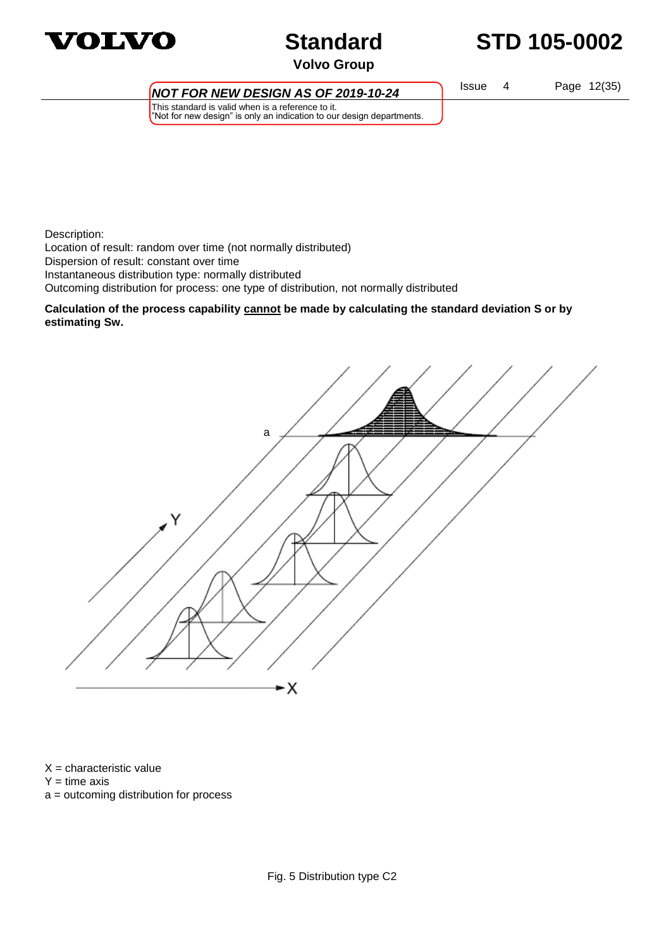



*NOT FOR NEW DESIGN AS OF 2019-10-24*

This standard is valid when is a reference to it. "Not for new design" is only an indication to our design departments.

Issue 4 Page 12(35)

Description:

Location of result: random over time (not normally distributed)

Dispersion of result: constant over time

Instantaneous distribution type: normally distributed

Outcoming distribution for process: one type of distribution, not normally distributed

### **Calculation of the process capability cannot be made by calculating the standard deviation S or by estimating Sw.**



 $X =$  characteristic value

 $Y = time axis$ 

a = outcoming distribution for process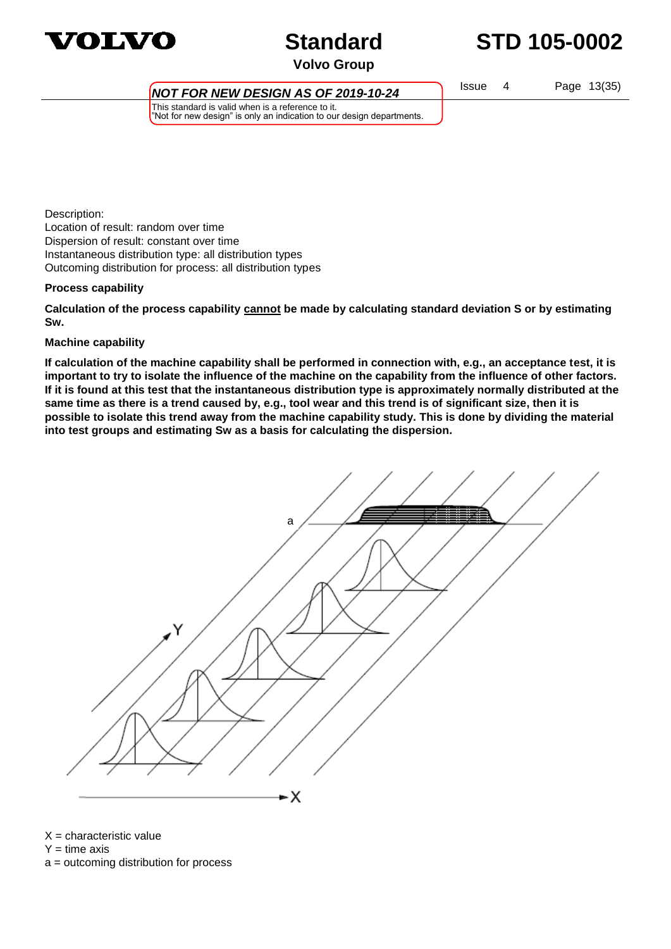



*NOT FOR NEW DESIGN AS OF 2019-10-24*

This standard is valid when is a reference to it. "Not for new design" is only an indication to our design departments.

Issue 4 Page 13(35)

Description: Location of result: random over time Dispersion of result: constant over time Instantaneous distribution type: all distribution types Outcoming distribution for process: all distribution types

### **Process capability**

**Calculation of the process capability cannot be made by calculating standard deviation S or by estimating Sw.**

### **Machine capability**

**If calculation of the machine capability shall be performed in connection with, e.g., an acceptance test, it is important to try to isolate the influence of the machine on the capability from the influence of other factors. If it is found at this test that the instantaneous distribution type is approximately normally distributed at the same time as there is a trend caused by, e.g., tool wear and this trend is of significant size, then it is possible to isolate this trend away from the machine capability study. This is done by dividing the material into test groups and estimating Sw as a basis for calculating the dispersion.**



 $X =$ characteristic value

- $Y =$  time axis
- a = outcoming distribution for process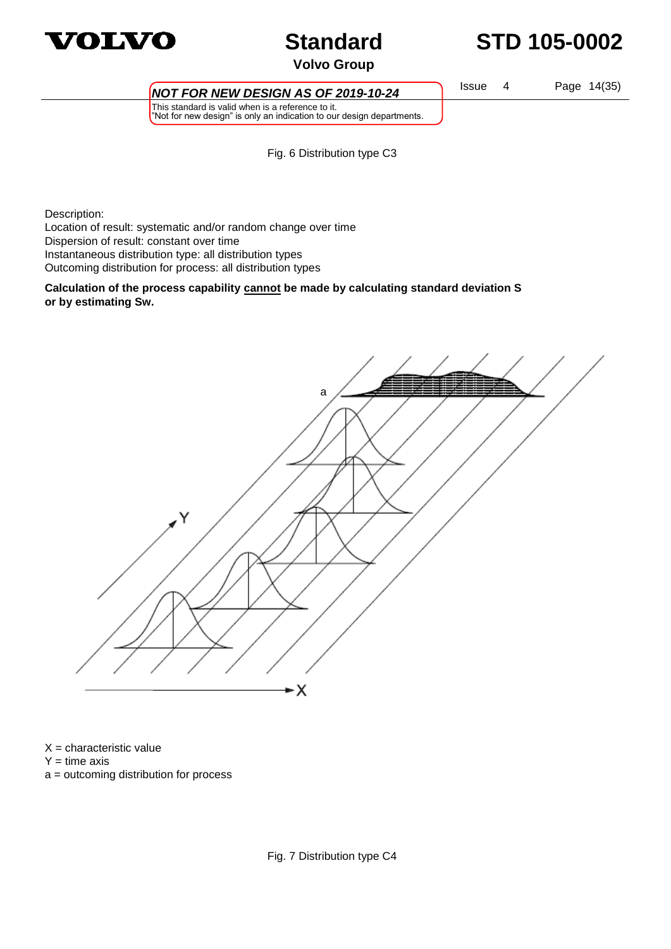



### *NOT FOR NEW DESIGN AS OF 2019-10-24*

This standard is valid when is a reference to it. "Not for new design" is only an indication to our design departments.

Issue 4 Page 14(35)

Fig. 6 Distribution type C3

Description:

Location of result: systematic and/or random change over time

Dispersion of result: constant over time

Instantaneous distribution type: all distribution types

Outcoming distribution for process: all distribution types

**Calculation of the process capability cannot be made by calculating standard deviation S or by estimating Sw.**



 $X =$ characteristic value

 $Y =$  time axis

a = outcoming distribution for process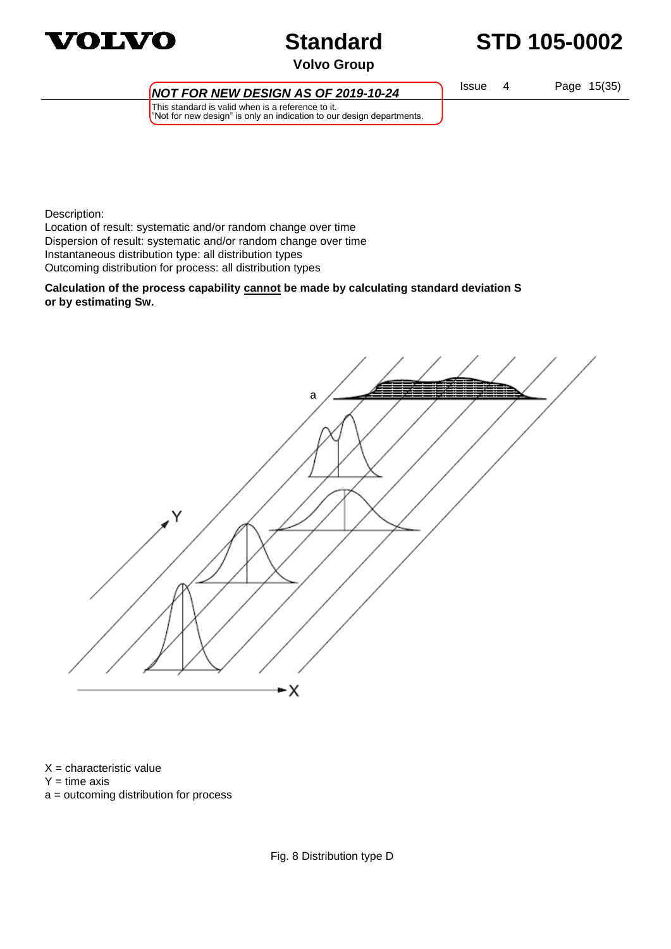



*NOT FOR NEW DESIGN AS OF 2019-10-24*

This standard is valid when is a reference to it. "Not for new design" is only an indication to our design departments.

Issue 4 Page 15(35)

Description:

Location of result: systematic and/or random change over time Dispersion of result: systematic and/or random change over time Instantaneous distribution type: all distribution types Outcoming distribution for process: all distribution types

**Calculation of the process capability cannot be made by calculating standard deviation S or by estimating Sw.**



 $X =$  characteristic value

 $Y = time axis$ 

a = outcoming distribution for process

Fig. 8 Distribution type D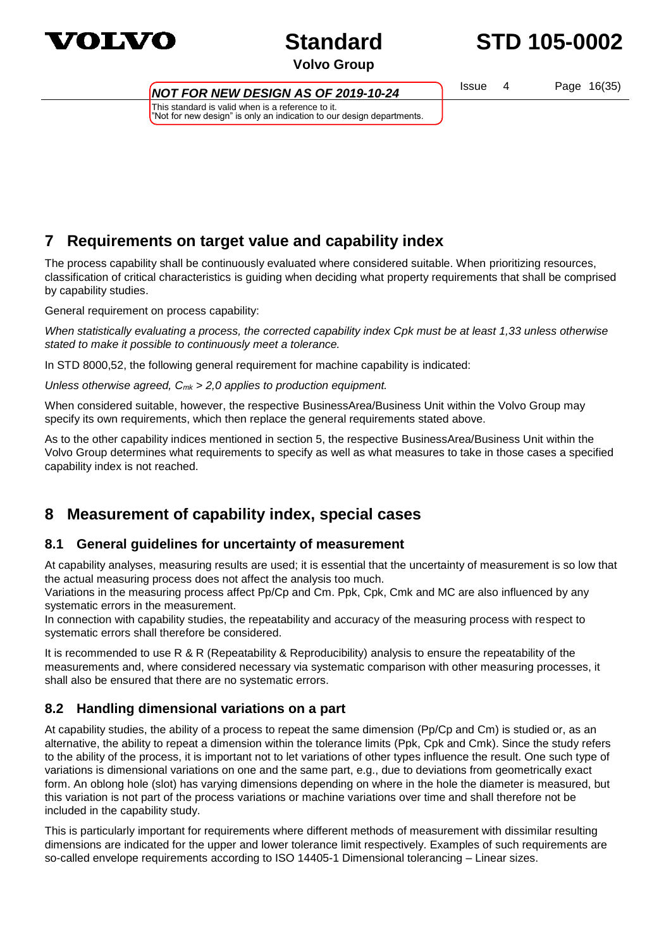



*NOT FOR NEW DESIGN AS OF 2019-10-24*

This standard is valid when is a reference to it. "Not for new design" is only an indication to our design departments.

Issue 4 Page 16(35)

# **7 Requirements on target value and capability index**

The process capability shall be continuously evaluated where considered suitable. When prioritizing resources, classification of critical characteristics is guiding when deciding what property requirements that shall be comprised by capability studies.

General requirement on process capability:

*When statistically evaluating a process, the corrected capability index Cpk must be at least 1,33 unless otherwise stated to make it possible to continuously meet a tolerance.*

In STD 8000,52, the following general requirement for machine capability is indicated:

*Unless otherwise agreed, Cmk > 2,0 applies to production equipment.*

When considered suitable, however, the respective BusinessArea/Business Unit within the Volvo Group may specify its own requirements, which then replace the general requirements stated above.

As to the other capability indices mentioned in section 5, the respective BusinessArea/Business Unit within the Volvo Group determines what requirements to specify as well as what measures to take in those cases a specified capability index is not reached.

## **8 Measurement of capability index, special cases**

### **8.1 General guidelines for uncertainty of measurement**

At capability analyses, measuring results are used; it is essential that the uncertainty of measurement is so low that the actual measuring process does not affect the analysis too much.

Variations in the measuring process affect Pp/Cp and Cm. Ppk, Cpk, Cmk and MC are also influenced by any systematic errors in the measurement.

In connection with capability studies, the repeatability and accuracy of the measuring process with respect to systematic errors shall therefore be considered.

It is recommended to use R & R (Repeatability & Reproducibility) analysis to ensure the repeatability of the measurements and, where considered necessary via systematic comparison with other measuring processes, it shall also be ensured that there are no systematic errors.

### **8.2 Handling dimensional variations on a part**

At capability studies, the ability of a process to repeat the same dimension (Pp/Cp and Cm) is studied or, as an alternative, the ability to repeat a dimension within the tolerance limits (Ppk, Cpk and Cmk). Since the study refers to the ability of the process, it is important not to let variations of other types influence the result. One such type of variations is dimensional variations on one and the same part, e.g., due to deviations from geometrically exact form. An oblong hole (slot) has varying dimensions depending on where in the hole the diameter is measured, but this variation is not part of the process variations or machine variations over time and shall therefore not be included in the capability study.

This is particularly important for requirements where different methods of measurement with dissimilar resulting dimensions are indicated for the upper and lower tolerance limit respectively. Examples of such requirements are so-called envelope requirements according to ISO 14405-1 Dimensional tolerancing – Linear sizes.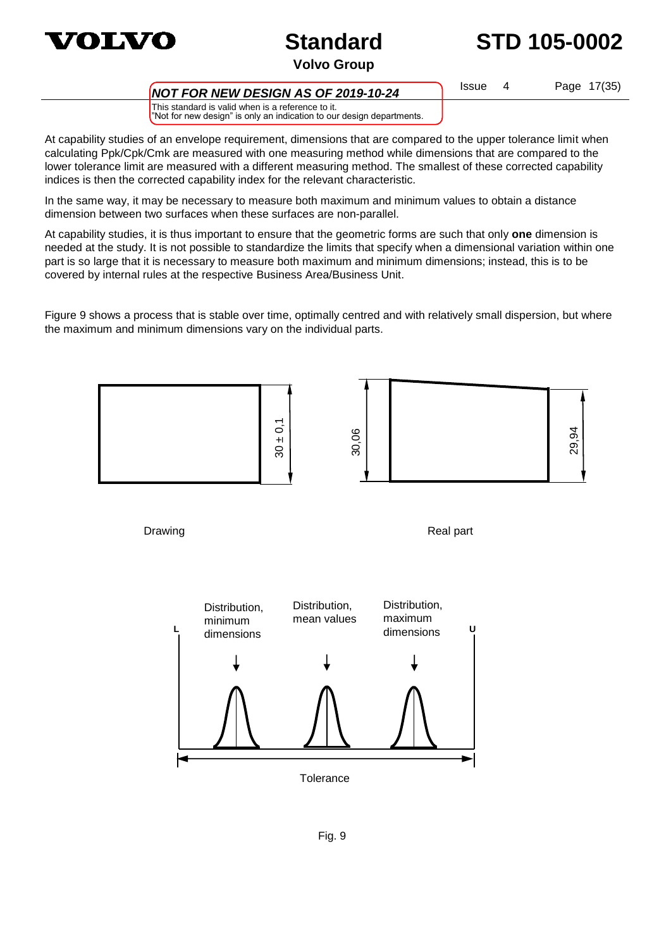



*NOT FOR NEW DESIGN AS OF 2019-10-24*

Issue 4 Page 17(35)

This standard is valid when is a reference to it. "Not for new design" is only an indication to our design departments.

At capability studies of an envelope requirement, dimensions that are compared to the upper tolerance limit when calculating Ppk/Cpk/Cmk are measured with one measuring method while dimensions that are compared to the lower tolerance limit are measured with a different measuring method. The smallest of these corrected capability indices is then the corrected capability index for the relevant characteristic.

In the same way, it may be necessary to measure both maximum and minimum values to obtain a distance dimension between two surfaces when these surfaces are non-parallel.

At capability studies, it is thus important to ensure that the geometric forms are such that only **one** dimension is needed at the study. It is not possible to standardize the limits that specify when a dimensional variation within one part is so large that it is necessary to measure both maximum and minimum dimensions; instead, this is to be covered by internal rules at the respective Business Area/Business Unit.

Figure 9 shows a process that is stable over time, optimally centred and with relatively small dispersion, but where the maximum and minimum dimensions vary on the individual parts.

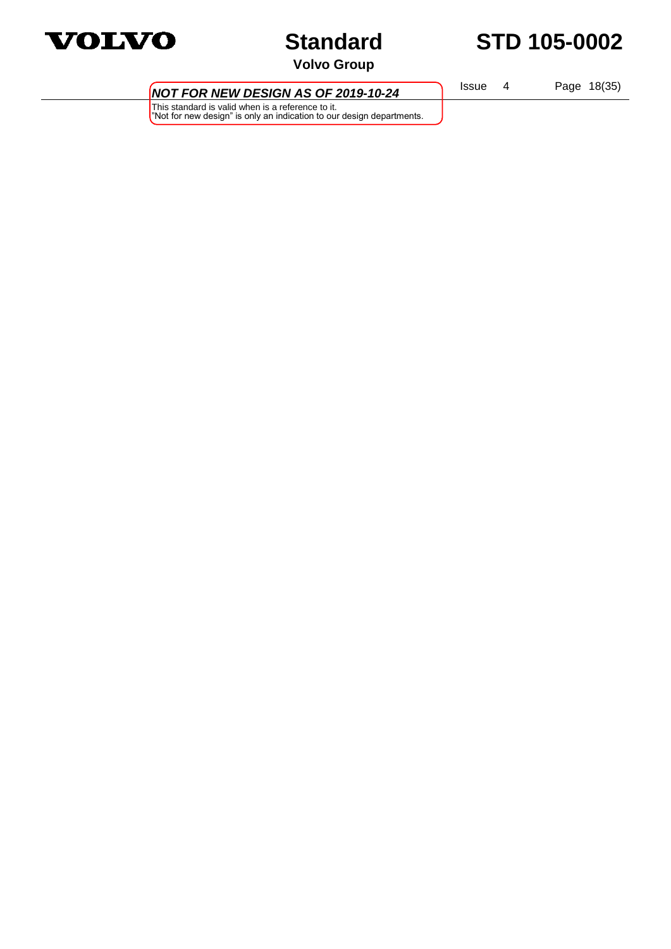



*NOT FOR NEW DESIGN AS OF 2019-10-24*

Issue 4 Page 18(35)

This standard is valid when is a reference to it. "Not for new design" is only an indication to our design departments.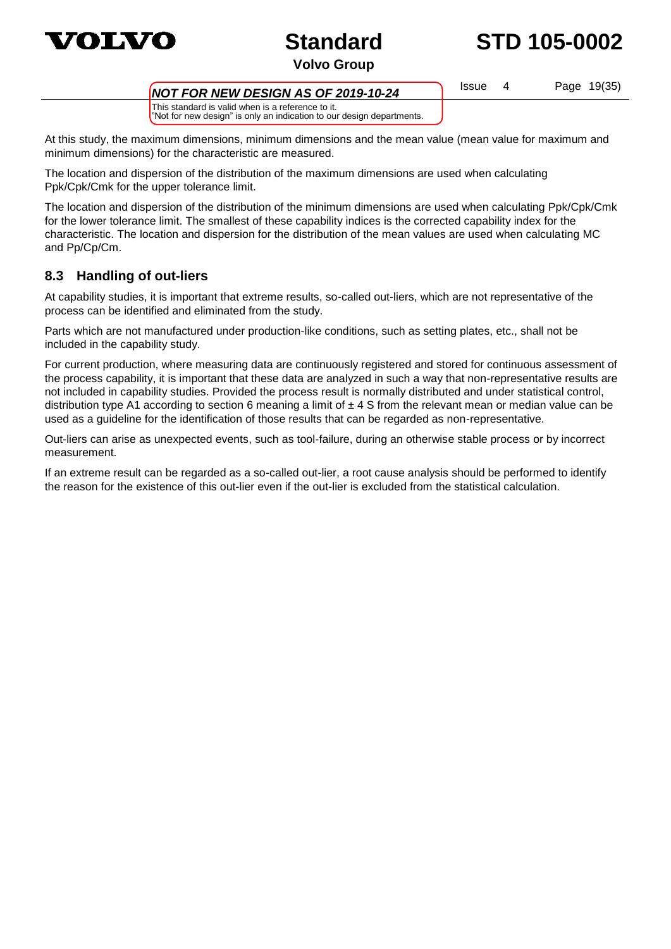



*NOT FOR NEW DESIGN AS OF 2019-10-24*

Issue 4 Page 19(35)

This standard is valid when is a reference to it. "Not for new design" is only an indication to our design departments.

At this study, the maximum dimensions, minimum dimensions and the mean value (mean value for maximum and minimum dimensions) for the characteristic are measured.

The location and dispersion of the distribution of the maximum dimensions are used when calculating Ppk/Cpk/Cmk for the upper tolerance limit.

The location and dispersion of the distribution of the minimum dimensions are used when calculating Ppk/Cpk/Cmk for the lower tolerance limit. The smallest of these capability indices is the corrected capability index for the characteristic. The location and dispersion for the distribution of the mean values are used when calculating MC and Pp/Cp/Cm.

### **8.3 Handling of out-liers**

At capability studies, it is important that extreme results, so-called out-liers, which are not representative of the process can be identified and eliminated from the study.

Parts which are not manufactured under production-like conditions, such as setting plates, etc., shall not be included in the capability study.

For current production, where measuring data are continuously registered and stored for continuous assessment of the process capability, it is important that these data are analyzed in such a way that non-representative results are not included in capability studies. Provided the process result is normally distributed and under statistical control, distribution type A1 according to section 6 meaning a limit of  $\pm$  4 S from the relevant mean or median value can be used as a guideline for the identification of those results that can be regarded as non-representative.

Out-liers can arise as unexpected events, such as tool-failure, during an otherwise stable process or by incorrect measurement.

If an extreme result can be regarded as a so-called out-lier, a root cause analysis should be performed to identify the reason for the existence of this out-lier even if the out-lier is excluded from the statistical calculation.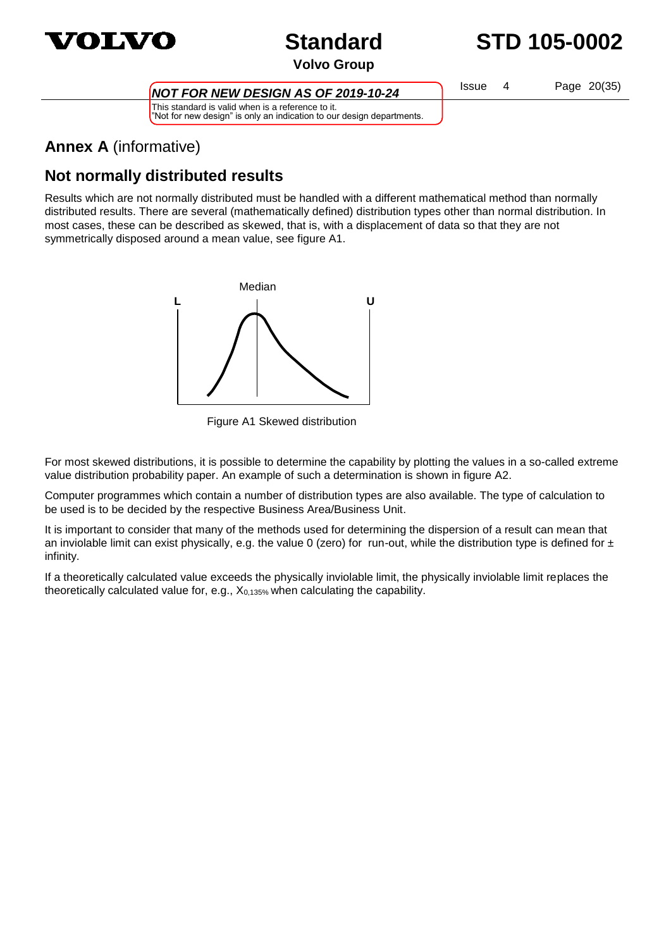



*NOT FOR NEW DESIGN AS OF 2019-10-24*

This standard is valid when is a reference to it. "Not for new design" is only an indication to our design departments.

Issue 4 Page 20(35)

# **Annex A** (informative)

# **Not normally distributed results**

Results which are not normally distributed must be handled with a different mathematical method than normally distributed results. There are several (mathematically defined) distribution types other than normal distribution. In most cases, these can be described as skewed, that is, with a displacement of data so that they are not symmetrically disposed around a mean value, see figure A1.



Figure A1 Skewed distribution

For most skewed distributions, it is possible to determine the capability by plotting the values in a so-called extreme value distribution probability paper. An example of such a determination is shown in figure A2.

Computer programmes which contain a number of distribution types are also available. The type of calculation to be used is to be decided by the respective Business Area/Business Unit.

It is important to consider that many of the methods used for determining the dispersion of a result can mean that an inviolable limit can exist physically, e.g. the value 0 (zero) for run-out, while the distribution type is defined for  $\pm$ infinity.

If a theoretically calculated value exceeds the physically inviolable limit, the physically inviolable limit replaces the theoretically calculated value for, e.g., X0,135% when calculating the capability.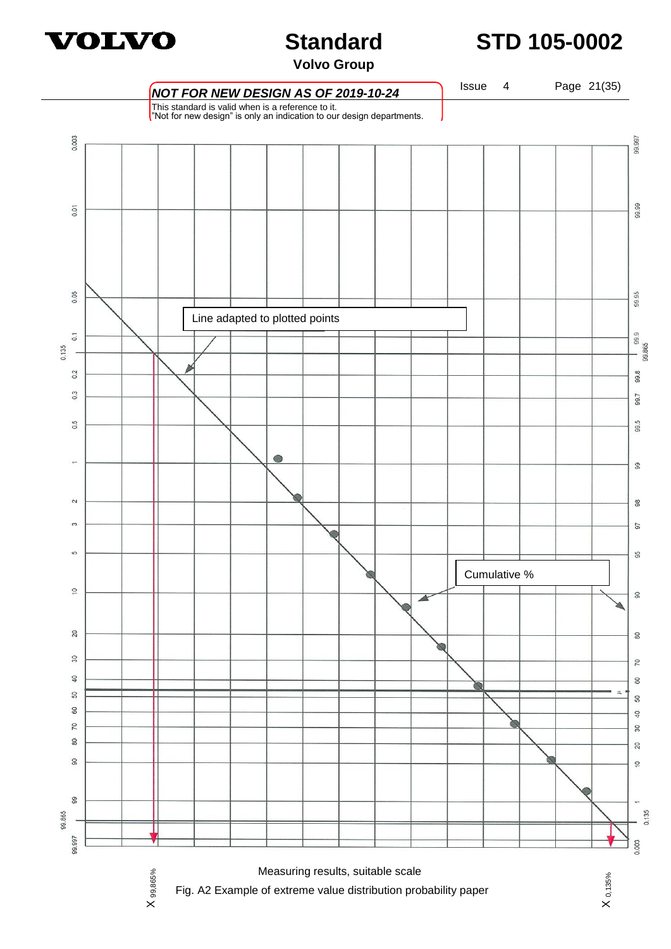



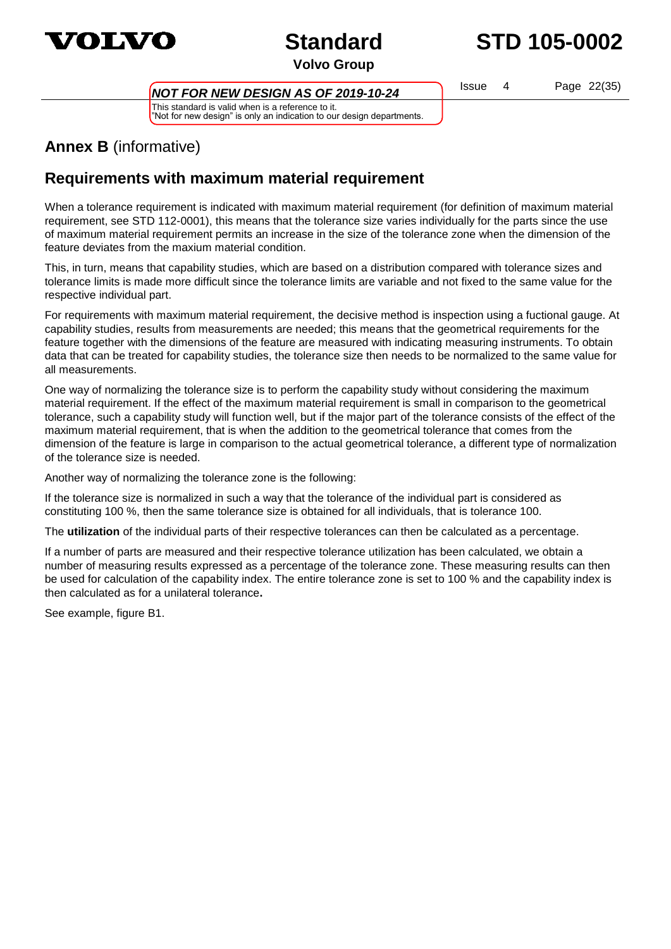



*NOT FOR NEW DESIGN AS OF 2019-10-24*

This standard is valid when is a reference to it. "Not for new design" is only an indication to our design departments.

Issue 4 Page 22(35)

# **Annex B** (informative)

# **Requirements with maximum material requirement**

When a tolerance requirement is indicated with maximum material requirement (for definition of maximum material requirement, see STD 112-0001), this means that the tolerance size varies individually for the parts since the use of maximum material requirement permits an increase in the size of the tolerance zone when the dimension of the feature deviates from the maxium material condition.

This, in turn, means that capability studies, which are based on a distribution compared with tolerance sizes and tolerance limits is made more difficult since the tolerance limits are variable and not fixed to the same value for the respective individual part.

For requirements with maximum material requirement, the decisive method is inspection using a fuctional gauge. At capability studies, results from measurements are needed; this means that the geometrical requirements for the feature together with the dimensions of the feature are measured with indicating measuring instruments. To obtain data that can be treated for capability studies, the tolerance size then needs to be normalized to the same value for all measurements.

One way of normalizing the tolerance size is to perform the capability study without considering the maximum material requirement. If the effect of the maximum material requirement is small in comparison to the geometrical tolerance, such a capability study will function well, but if the major part of the tolerance consists of the effect of the maximum material requirement, that is when the addition to the geometrical tolerance that comes from the dimension of the feature is large in comparison to the actual geometrical tolerance, a different type of normalization of the tolerance size is needed.

Another way of normalizing the tolerance zone is the following:

If the tolerance size is normalized in such a way that the tolerance of the individual part is considered as constituting 100 %, then the same tolerance size is obtained for all individuals, that is tolerance 100.

The **utilization** of the individual parts of their respective tolerances can then be calculated as a percentage.

If a number of parts are measured and their respective tolerance utilization has been calculated, we obtain a number of measuring results expressed as a percentage of the tolerance zone. These measuring results can then be used for calculation of the capability index. The entire tolerance zone is set to 100 % and the capability index is then calculated as for a unilateral tolerance**.**

See example, figure B1.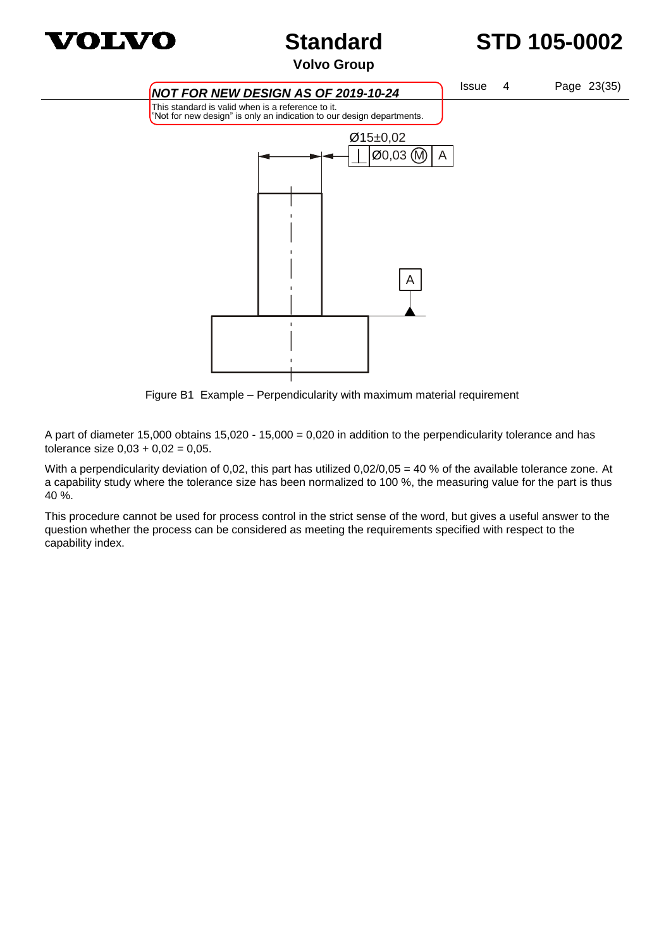





Figure B1 Example – Perpendicularity with maximum material requirement

A part of diameter 15,000 obtains 15,020 - 15,000 = 0,020 in addition to the perpendicularity tolerance and has tolerance size  $0,03 + 0,02 = 0,05$ .

With a perpendicularity deviation of 0,02, this part has utilized 0,02/0,05 = 40 % of the available tolerance zone. At a capability study where the tolerance size has been normalized to 100 %, the measuring value for the part is thus 40 %.

This procedure cannot be used for process control in the strict sense of the word, but gives a useful answer to the question whether the process can be considered as meeting the requirements specified with respect to the capability index.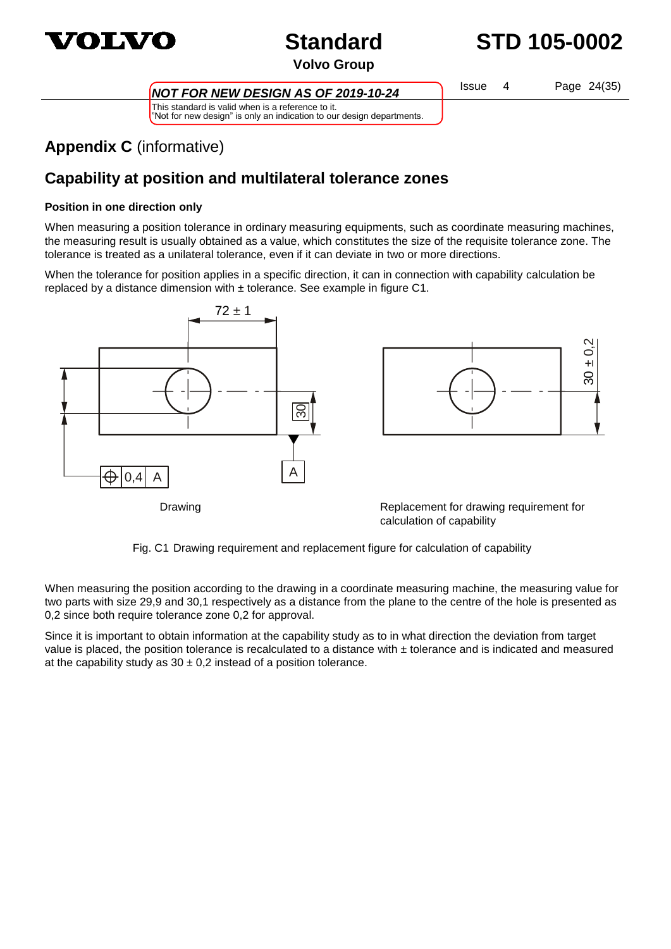



*NOT FOR NEW DESIGN AS OF 2019-10-24*

This standard is valid when is a reference to it. "Not for new design" is only an indication to our design departments.

Issue 4 Page 24(35)

# **Appendix C** (informative)

# **Capability at position and multilateral tolerance zones**

### **Position in one direction only**

When measuring a position tolerance in ordinary measuring equipments, such as coordinate measuring machines, the measuring result is usually obtained as a value, which constitutes the size of the requisite tolerance zone. The tolerance is treated as a unilateral tolerance, even if it can deviate in two or more directions.

When the tolerance for position applies in a specific direction, it can in connection with capability calculation be replaced by a distance dimension with  $\pm$  tolerance. See example in figure C1.



Fig. C1 Drawing requirement and replacement figure for calculation of capability

When measuring the position according to the drawing in a coordinate measuring machine, the measuring value for two parts with size 29,9 and 30,1 respectively as a distance from the plane to the centre of the hole is presented as 0,2 since both require tolerance zone 0,2 for approval.

Since it is important to obtain information at the capability study as to in what direction the deviation from target value is placed, the position tolerance is recalculated to a distance with ± tolerance and is indicated and measured at the capability study as  $30 \pm 0.2$  instead of a position tolerance.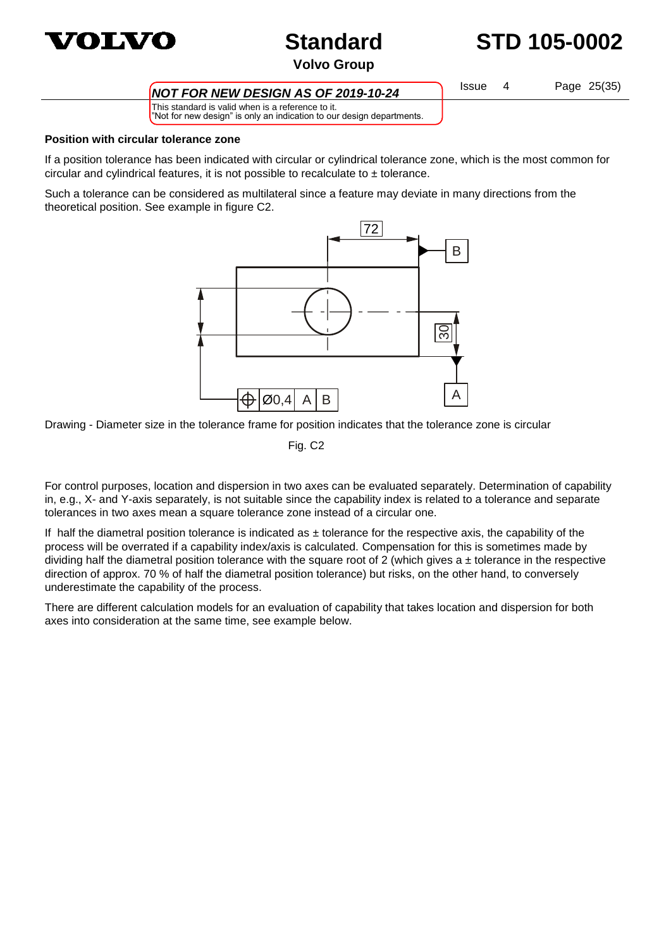



*NOT FOR NEW DESIGN AS OF 2019-10-24*

Issue 4 Page 25(35)

This standard is valid when is a reference to it. "Not for new design" is only an indication to our design departments.

### **Position with circular tolerance zone**

If a position tolerance has been indicated with circular or cylindrical tolerance zone, which is the most common for circular and cylindrical features, it is not possible to recalculate to  $\pm$  tolerance.

Such a tolerance can be considered as multilateral since a feature may deviate in many directions from the theoretical position. See example in figure C2.



Drawing - Diameter size in the tolerance frame for position indicates that the tolerance zone is circular

Fig. C2

For control purposes, location and dispersion in two axes can be evaluated separately. Determination of capability in, e.g., X- and Y-axis separately, is not suitable since the capability index is related to a tolerance and separate tolerances in two axes mean a square tolerance zone instead of a circular one.

If half the diametral position tolerance is indicated as  $\pm$  tolerance for the respective axis, the capability of the process will be overrated if a capability index/axis is calculated. Compensation for this is sometimes made by dividing half the diametral position tolerance with the square root of 2 (which gives  $a \pm$  tolerance in the respective direction of approx. 70 % of half the diametral position tolerance) but risks, on the other hand, to conversely underestimate the capability of the process.

There are different calculation models for an evaluation of capability that takes location and dispersion for both axes into consideration at the same time, see example below.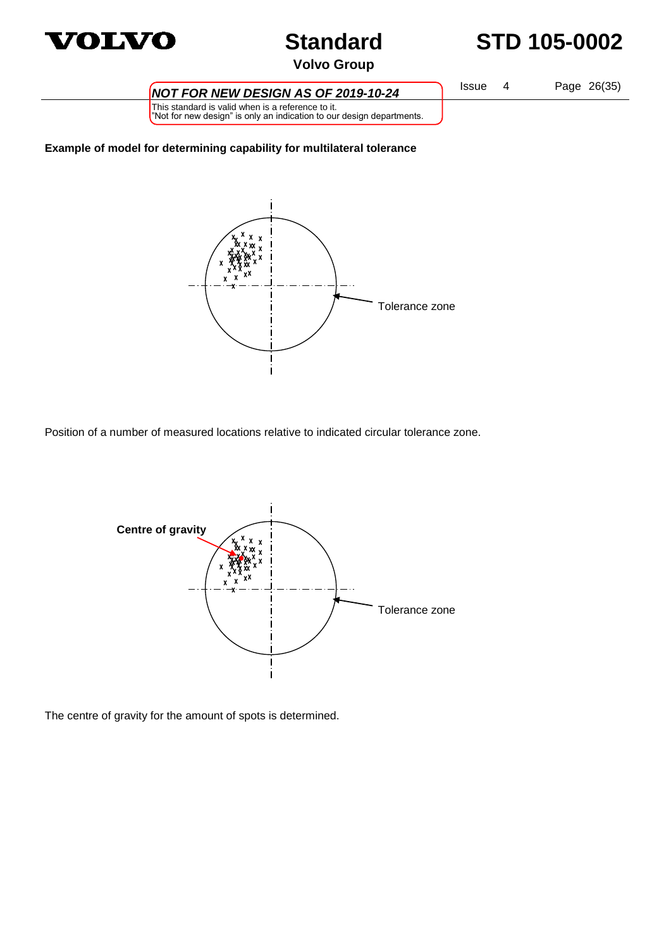



*NOT FOR NEW DESIGN AS OF 2019-10-24*

Issue 4 Page 26(35)

This standard is valid when is a reference to it. "Not for new design" is only an indication to our design departments.

**Example of model for determining capability for multilateral tolerance**



Position of a number of measured locations relative to indicated circular tolerance zone.



The centre of gravity for the amount of spots is determined.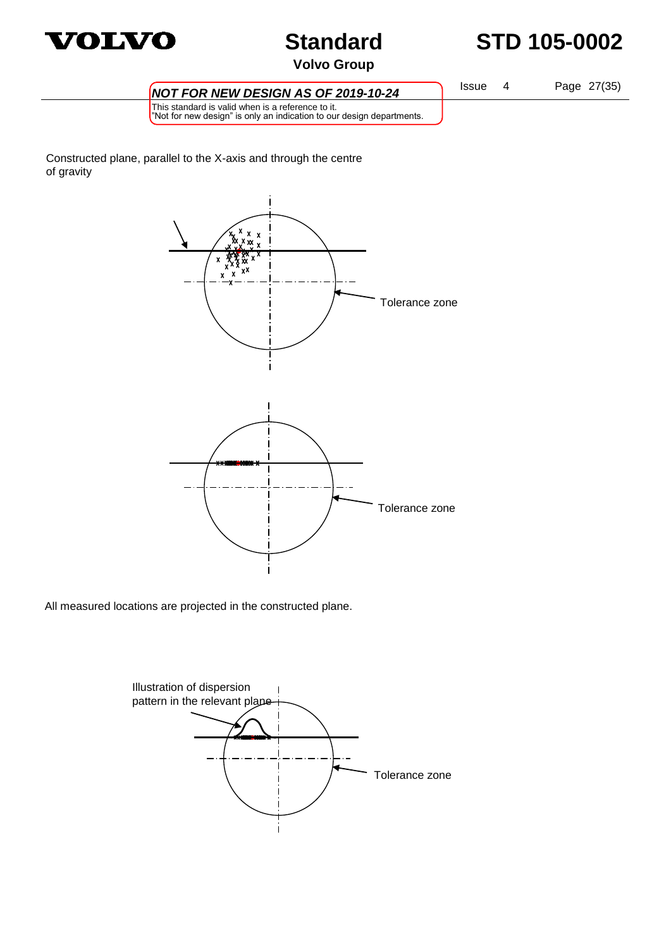



*NOT FOR NEW DESIGN AS OF 2019-10-24*

Issue 4 Page 27(35)

This standard is valid when is a reference to it. "Not for new design" is only an indication to our design departments.

Constructed plane, parallel to the X-axis and through the centre of gravity



All measured locations are projected in the constructed plane.

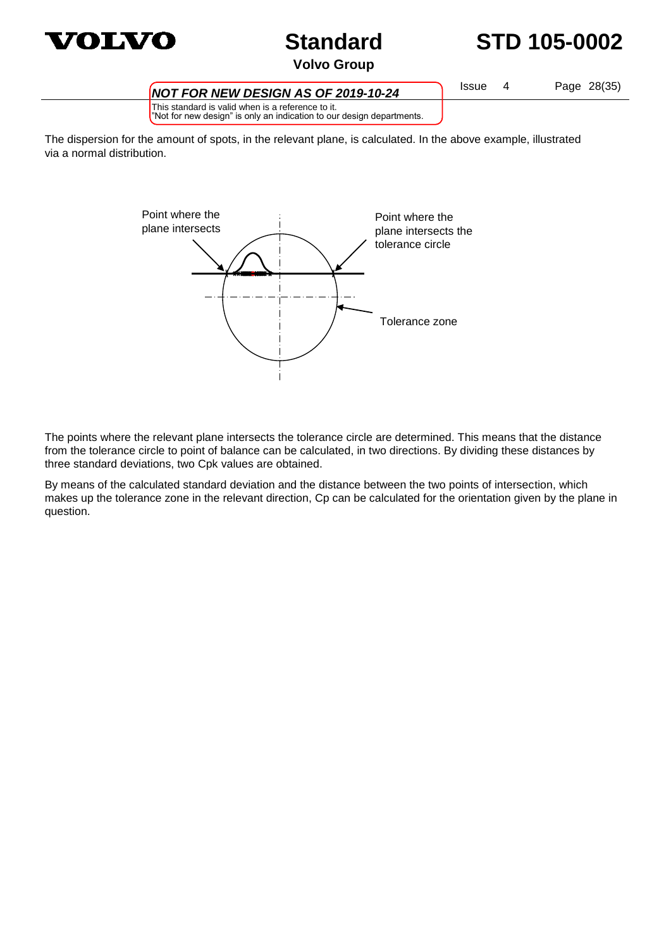



| <b>INOT FOR NEW DESIGN AS OF 2019-10-24</b>              | Issue | Page<br>28(35) |
|----------------------------------------------------------|-------|----------------|
| <b>This standard is valid when is a reference to it.</b> |       |                |

"Not for new design" is only an indication to our design departments.

The dispersion for the amount of spots, in the relevant plane, is calculated. In the above example, illustrated via a normal distribution.



The points where the relevant plane intersects the tolerance circle are determined. This means that the distance from the tolerance circle to point of balance can be calculated, in two directions. By dividing these distances by three standard deviations, two Cpk values are obtained.

By means of the calculated standard deviation and the distance between the two points of intersection, which makes up the tolerance zone in the relevant direction, Cp can be calculated for the orientation given by the plane in question.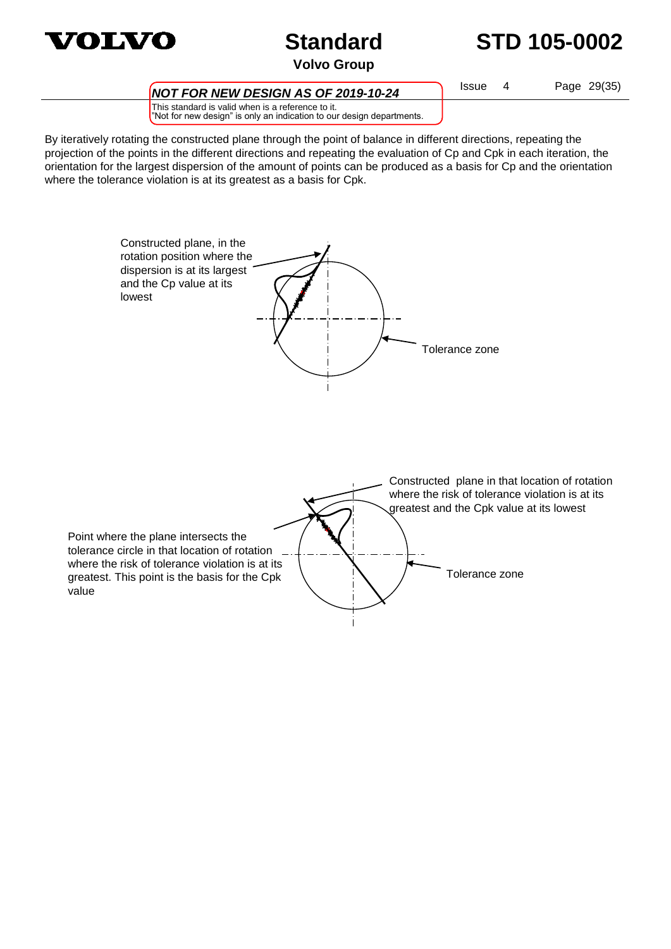



### *NOT FOR NEW DESIGN AS OF 2019-10-24*

Issue 4 Page 29(35)

This standard is valid when is a reference to it. "Not for new design" is only an indication to our design departments.

By iteratively rotating the constructed plane through the point of balance in different directions, repeating the projection of the points in the different directions and repeating the evaluation of Cp and Cpk in each iteration, the orientation for the largest dispersion of the amount of points can be produced as a basis for Cp and the orientation where the tolerance violation is at its greatest as a basis for Cpk.

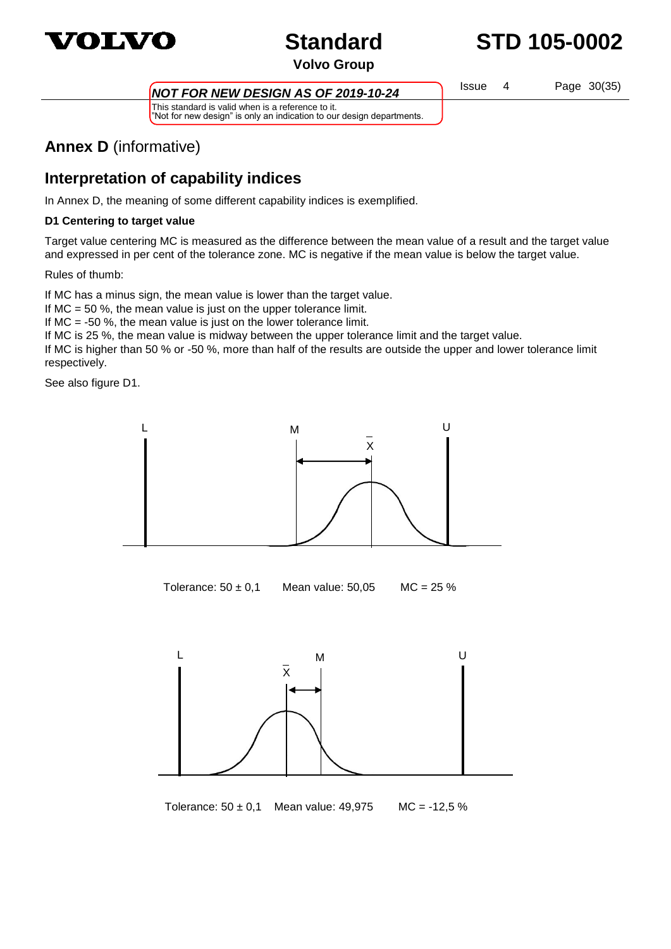



*NOT FOR NEW DESIGN AS OF 2019-10-24*

This standard is valid when is a reference to it. "Not for new design" is only an indication to our design departments.

Issue 4 Page 30(35)

# **Annex D** (informative)

# **Interpretation of capability indices**

In Annex D, the meaning of some different capability indices is exemplified.

### **D1 Centering to target value**

Target value centering MC is measured as the difference between the mean value of a result and the target value and expressed in per cent of the tolerance zone. MC is negative if the mean value is below the target value.

Rules of thumb:

If MC has a minus sign, the mean value is lower than the target value.

If  $MC = 50$  %, the mean value is just on the upper tolerance limit.

If MC = -50 %, the mean value is just on the lower tolerance limit.

If MC is 25 %, the mean value is midway between the upper tolerance limit and the target value.

If MC is higher than 50 % or -50 %, more than half of the results are outside the upper and lower tolerance limit respectively.

See also figure D1.



Tolerance:  $50 \pm 0.1$  Mean value:  $49.975$  MC = -12.5 %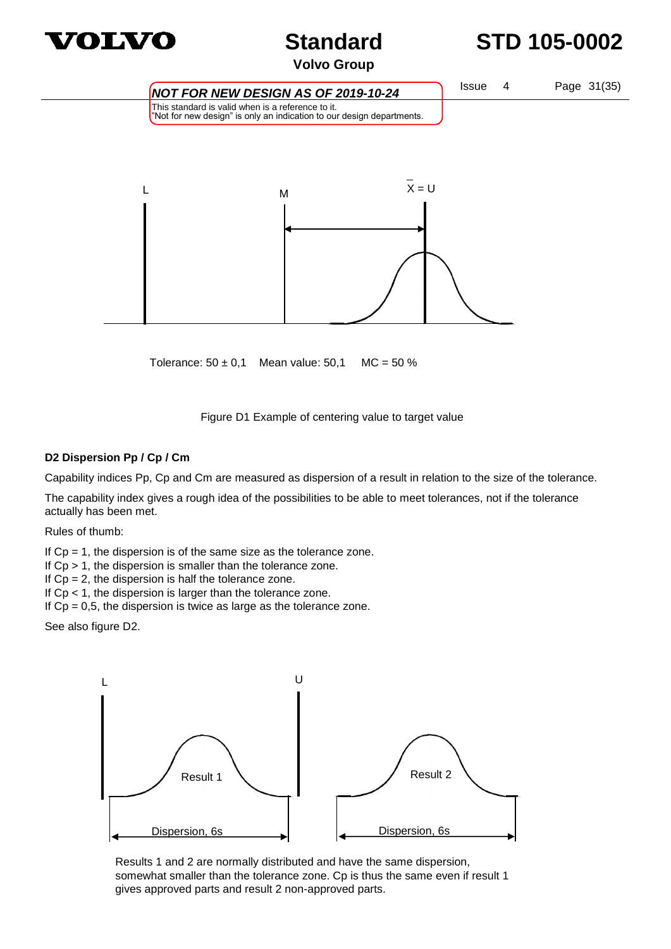





Tolerance:  $50 \pm 0.1$  Mean value:  $50.1$  MC =  $50\%$ 

Figure D1 Example of centering value to target value

### **D2 Dispersion Pp / Cp / Cm**

Capability indices Pp, Cp and Cm are measured as dispersion of a result in relation to the size of the tolerance.

The capability index gives a rough idea of the possibilities to be able to meet tolerances, not if the tolerance actually has been met.

Rules of thumb:

If  $Cp = 1$ , the dispersion is of the same size as the tolerance zone.

If  $Cp > 1$ , the dispersion is smaller than the tolerance zone.

If  $Cp = 2$ , the dispersion is half the tolerance zone.

If  $Cp < 1$ , the dispersion is larger than the tolerance zone.

If  $Cp = 0.5$ , the dispersion is twice as large as the tolerance zone.

See also figure D2.



Results 1 and 2 are normally distributed and have the same dispersion, somewhat smaller than the tolerance zone. Cp is thus the same even if result 1 gives approved parts and result 2 non-approved parts.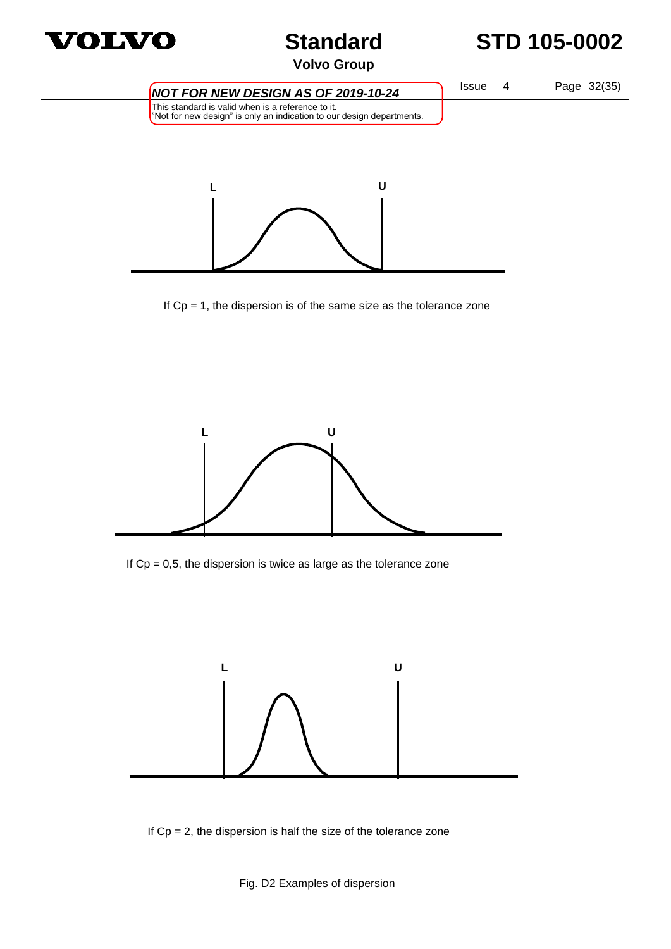





If  $Cp = 1$ , the dispersion is of the same size as the tolerance zone



If  $Cp = 0.5$ , the dispersion is twice as large as the tolerance zone



If  $Cp = 2$ , the dispersion is half the size of the tolerance zone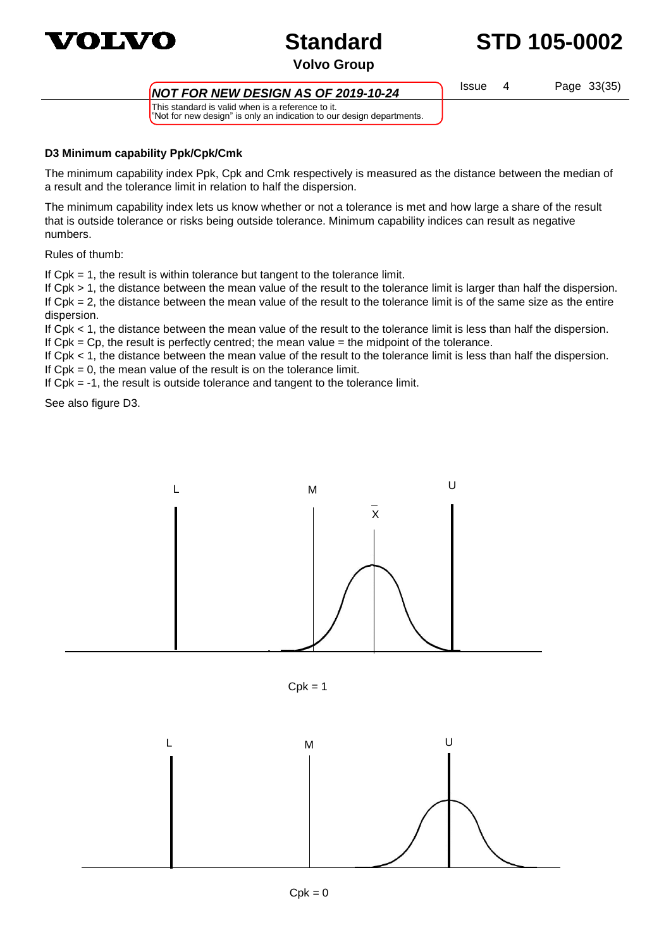



### *NOT FOR NEW DESIGN AS OF 2019-10-24*

This standard is valid when is a reference to it.

"Not for new design" is only an indication to our design departments.

### **D3 Minimum capability Ppk/Cpk/Cmk**

The minimum capability index Ppk, Cpk and Cmk respectively is measured as the distance between the median of a result and the tolerance limit in relation to half the dispersion.

The minimum capability index lets us know whether or not a tolerance is met and how large a share of the result that is outside tolerance or risks being outside tolerance. Minimum capability indices can result as negative numbers.

Rules of thumb:

If  $Cpk = 1$ , the result is within tolerance but tangent to the tolerance limit.

If Cpk > 1, the distance between the mean value of the result to the tolerance limit is larger than half the dispersion. If Cpk = 2, the distance between the mean value of the result to the tolerance limit is of the same size as the entire dispersion.

If Cpk < 1, the distance between the mean value of the result to the tolerance limit is less than half the dispersion.

If Cpk = Cp, the result is perfectly centred; the mean value = the midpoint of the tolerance.

If Cpk < 1, the distance between the mean value of the result to the tolerance limit is less than half the dispersion.

If Cpk = 0, the mean value of the result is on the tolerance limit.

If Cpk = -1, the result is outside tolerance and tangent to the tolerance limit.

See also figure D3.







Issue 4 Page 33(35)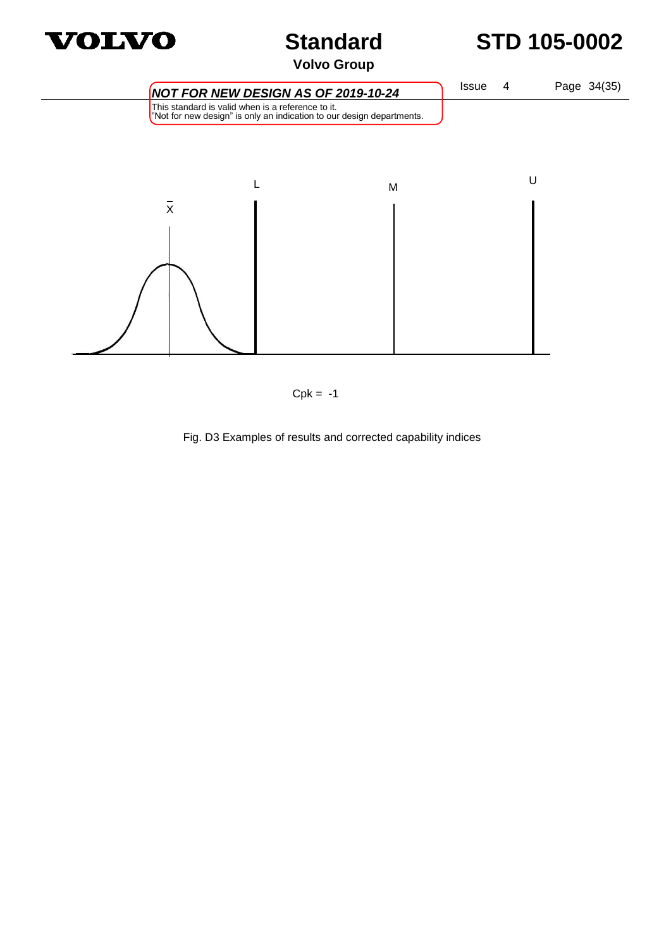





 $Cpk = -1$ 

Fig. D3 Examples of results and corrected capability indices